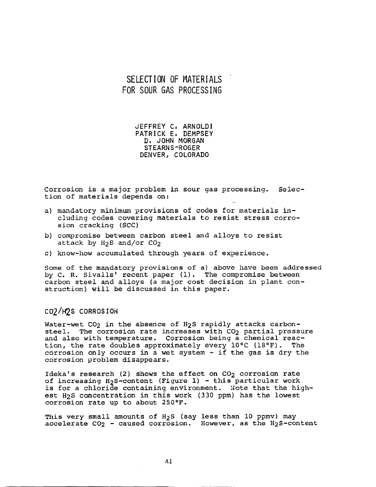### **SELECTION OF MATERIALS FOR SOUR GAS PROCESSING**

JEFFREY C, ARNOLDI PATRICK E, DEMPSEY D, JOHN MORGAN **STEARNS-ROGER**  DENVER, COLORADO

Corrosion is a major problem in sour gas processing. Selection of materials depends on:

- a) mandatory minimum provisions of codes for materials including codes covering materials to resist stress corrosion cracking (SCC)
- b) compromise between carbon steel and alloys to resist attack by  $H_2S$  and/or  $CO_2$
- c) know-how accumulated through years of experience.

Some of the mandatory provisions of a) above have been addressed by C. R. Sivalls' recent paper (1). The compromise between carbon steel and alloys (a major cost decision in plant construction) will be discussed in this paper.

#### **C02/H2S CORROSION**

Water-wet CO<sub>2</sub> in the absence of H<sub>2</sub>S rapidly attacks carbonsteel. The corrosion rate increases with CO<sub>2</sub> partial pressure and also with temperature. Corrosion being a chemical reaction, the rate doubles approximately every 10°C (18°F). The corrosion only occurs in a wet system - if the gas is dry the corrosion problem disappears.

Ideka's research (2) shows the effect on  $CO<sub>2</sub>$  corrosion rate of increasing H2S-content (Figure i) - this particular work is for a chloride containing environment. Note that the highest H2S concentration in this work (330 ppm) has the lowest corrosion rate up to about 250°F.

This very small amounts of H<sub>2</sub>S (say less than 10 ppmv) may accelerate  $CO<sub>2</sub>$  - caused corrosion. However, as the H<sub>2</sub>S-content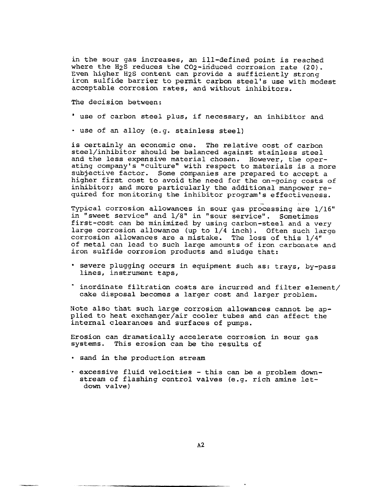in the sour gas increases, an ill-defined point is reached where the H<sub>2</sub>S reduces the CO<sub>2</sub>-induced corrosion rate (20). Even higher H2S content can provide a sufficiently strong iron sulfide barrier to permit carbon steel's use with modest acceptable corrosion rates, and without inhibitors.

The decision between:

- use of carbon steel plus, if necessary, an inhibitor and
- use of an alloy (e.g. stainless steel)

is certainly an economic one. The relative cost of carbon steel/inhibitor should be balanced against stainless steel and the less expensive material chosen. However, the operating company's "culture" with respect to materials is a more subjective factor. Some companies are prepared to accept a higher first cost to avoid the need for the on-going costs of inhibitor; and more particularly the additional manpower required for monitoring the inhibitor program's effectiveness.

Typical corrosion allowances in sour gas processing are 1/16" in "sweet service" and 1/8" in "sour service". Sometimes first-cost can be minimized by using carbon-steel and a very large corrosion allowance (up to  $1/4$  inch). Often such large corrosion allowances are a mistake. The loss of this 1/4" of metal can lead to such large amounts of iron carbonate and iron sulfide corrosion products and sludge that:

- severe plugging occurs in equipment such as: trays, by-pass lines, instrument taps,
- inordinate filtration costs are incurred and filter element/ cake disposal becomes a larger cost and larger problem.

Note also that such large corrosion allowances cannot be applied to heat exchanger/air cooler tubes and can affect the internal clearances and surfaces of pumps.

Erosion can dramatically accelerate corrosion in sour gas systems. This erosion can be the results of

- sand in the production stream
- excessive fluid velocities this can be a problem downstream of flashing control valves (e.g. rich amine letdown valve)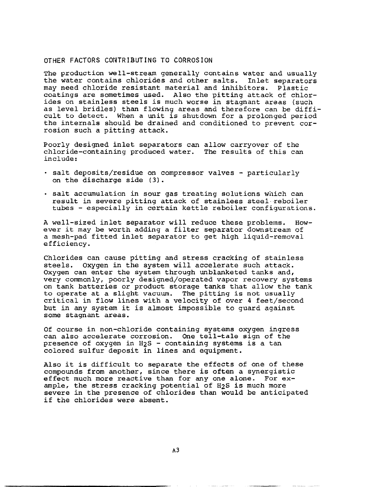#### OTHER FACTORS CONTRIBUTING TO CORROSION

The production well-stream generally contains water and usually the water contains chlorides and other salts. Inlet separators may need chloride resistant material and inhibitors. Plastic coatings are sometimes used. Also the pitting attack of chlorides on stainless steels is much worse in stagnant areas (such as level bridles) than flowing areas and therefore can be difficult to detect. When a unit is shutdown for a prolonged period the internals should be drained and conditioned to prevent corrosion such a pitting attack.

Poorly designed inlet separators can allow carryover of the chloride-containing produced water. The results of this can include:

- salt deposits/residue on compressor valves particularly on the discharge side (3).
- salt accumulation in sour gas treating solutions which can result in severe pitting attack of stainless steel reboiler tubes - especially in certain kettle reboiler configurations.

A well-sized inlet separator will reduce these problems. However it may be worth adding a filter separator downstream of a mesh-pad fitted inlet separator to get high liquid-removal efficiency.

Chlorides can cause pitting and stress cracking of stainless steels. Oxygen in the system will accelerate such attack. Oxygen can enter the system through unblanketed tanks and, very commonly, poorly designed/operated vapor recovery systems on tank batteries or product storage tanks that allow the tank to operate at a slight vacuum. The pitting is not usually critical in flow lines with a velocity of over 4 feet/second but in any system it is almost impossible to guard against some stagnant areas.

Of course in non-chloride containing systems oxygen ingress can also accelerate corrosion. One tell-tale sign of the presence of oxygen in H2S - containing systems is a tan colored sulfur deposit in lines and equipment.

Also it is difficult to separate the effects of one of these compounds from another, since there is often a synergistic effect much more reactive than for any one alone. For example, the stress cracking potential of H2S is much more severe in the presence of chlorides than would be anticipated if the chlorides were absent.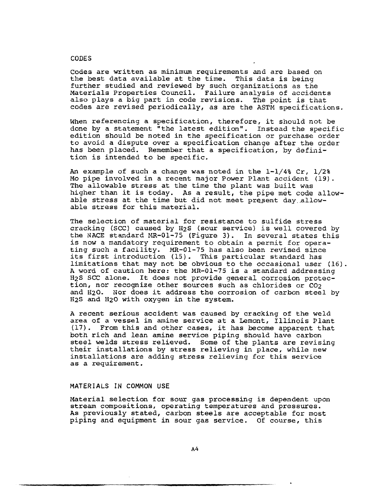#### CODES

Codes are written as minimum requirements and are based on the best data available at the time. This data is being further studied and reviewed by such organizations as the Materials Properties Council. Failure analysis of accidents also plays a big part in code revisions. The point is that codes are revised periodically, as are the ASTM specifications.

When referencing a specification, therefore, it should not be done by a statement "the latest edition". Instead the specific edition should be noted in the specification or purchase order to avoid a dispute over a specification change after the order has been placed. Remember that a specification, by definition is intended to be specific.

An example of such a change was noted in the  $1-1/48$  Cr,  $1/28$ Mo pipe involved in a recent major Power Plant accident (19). The allowable stress at the time the plant was built was higher than it is today. As a result, the pipe met code allowable stress at the time but did not meet present day allowable stress for this material.

The selection of material for resistance to sulfide stress cracking (SCC) caused by H2S (sour service) is well covered by the NACE standard MR-01-75 (Figure 3). In several states this is now a mandatory requirement to obtain a permit for operating such a facility. MR-01-75 has also been revised since its first introduction (15). This particular standard has limitations that may not be obvious to the occasional user (16). A word of caution here: the MR-01-75 is a standard addressing H2S SCC alone. It does not provide general corrosion protection, nor recognize other sources such as chlorides or CO2 and H20. Nor does it address the corrosion of carbon steel by H2S and H20 with oxygen in the system.

A recent serious accident was caused by cracking of the weld area of a vessel in amine service at a Lemont, Illinois Plant (17). From this and other cases, it has become apparent that both rich and lean amine service piping should have carbon steel welds stress relieved. Some of the plants are revising their installations by stress relieving in place, while new installations are adding stress relieving for this service as a requirement.

#### MATERIALS IN COMMON USE

Material selection for sour gas processing is dependent upon stream compositions, operating temperatures and pressures. As previously stated, carbon steels are acceptable for most piping and equipment in sour gas service. Of course, this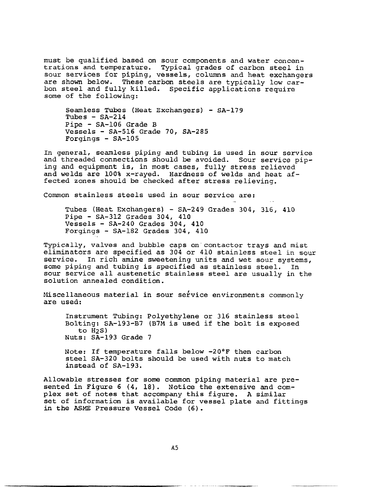must be qualified based on sour components and water concentrations and temperature. Typical grades of carbon steel in sour services for piping, vessels, columns and heat exchangers are shown below. These carbon steels are typically low carbon steel and fully killed. Specific applications require some of the following:

Seamless Tubes (Heat Exchangers) - SA-179 Tubes  $-$  SA-214 Pipe - SA-106 Grade B Vessels - SA-516 Grade 70, SA-285 Forgings - SA-105

In general, seamless piping and tubing is used in sour service and threaded connections should be avoided. Sour service piping and equipment is, in most cases, fully stress relieved and welds are 100% x-rayed. Hardness of welds and heat affected zones should be checked after stress relieving.

Common stainless steels used in sour service are:

Tubes (Heat Exchangers) - SA-249 Grades 304, 316, 410 Pipe - SA-312 Grades 304, 410 Vessels - SA-240 Grades 304, 410 Forgings - SA-182 Grades 304, 410

Typically, valves and bubble caps on contactor trays and mist eliminators are specified as 304 or 410 stainless steel in sour service. In rich amine sweetening units and wet sour systems, some piping and tubing is specified as stainless steel. In sour service all austenetic stainless steel are usually in the solution annealed condition.

Miscellaneous material in sour service environments commonly are used:

Instrument Tubing: Polyethylene or 316 stainless steel Bolting: SA-193-B7 (B7M is used if the bolt is exposed to H2S) Nuts: SA-193 Grade 7

Note: If temperature falls below -20°F then carbon steel SA-320 bolts should be used with nuts to match instead of SA-193.

Allowable stresses for some common piping material are presented in Figure 6 (4, 18). Notice the extensive and complex set of notes that accompany this figure. A similar set of information is available for vessel plate and fittings in the ASME Pressure Vessel Code (6).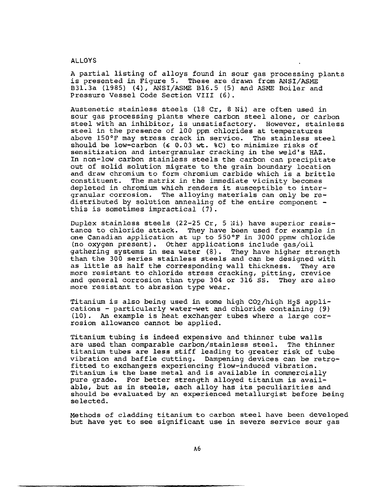#### ALLOYS

A partial listing of alloys found in sour gas processing plants is presented in Figure 5. These are drawn from ANSI/ASME B31.3a (1985) (4), ANSI/ASME B16.5 (5) and ASME Boiler and Pressure Vessel Code Section VIII (6).

Austenetic stainless steels (18 Cr, 8 Ni) are often used in sour gas processing plants where carbon steel alone, or carbon steel with an inhibitor, is unsatisfactory. However, stainless steel in the presence of 100 ppm chlorides at temperatures above 150°F may stress crack in service. The stainless steel should be low-carbon  $(60.03 \text{ wt. } 80)$  to minimize risks of sensitization and intergranular cracking in the weld's HAZ. In non-low carbon stainless steels the carbon can precipitate out of solid solution migrate to the grain boundary location and draw chromium to form chromium carbide which is a brittle constituent. The matrix in the immediate vicinity becomes depleted in chromium which renders it susceptible to intergranular corrosion. The alloying materials can only be redistributed by solution annealing of the entire component this is sometimes impractical (7).

Duplex stainless steels (22-25 Cr, 5 Ni) have superior resistance to chloride attack. They have been used for example in one Canadian application at up to 550°F in 3000 ppmw chloride (no oxygen present). Other applications include gas/oil gathering systems in sea water (8). They have higher strength than the 300 series stainless steels and can be designed with as little as half the corresponding wall thickness. They are more resistant to chloride stress cracking, pitting, crevice and general corrosion than type 304 or 316 SS. They are also more resistant to abrasion type wear.

Titanium is also being used in some high CO2/high H2S applications - particularly water-wet and chloride containing (9) (10). An example is heat exchanger tubes where a large corrosion allowance cannot be applied.

Titanium tubing is indeed expensive and thinner tube walls are used than comparable carbon/stainless steel. The thinner titanium tubes are less stiff leading to greater risk of tube vibration and baffle cutting. Dampening devices can be retrofitted to exchangers experiencing flow-induced vibration. Titanium is the base metal and is available in commercially pure grade. For better strength alloyed titanium is available, but as in steels, each alloy has its peculiarities and should be evaluated by an experienced metallurgist before being se lected.

Methods of cladding titanium to carbon steel have been developed but have yet to see significant use in severe service sour gas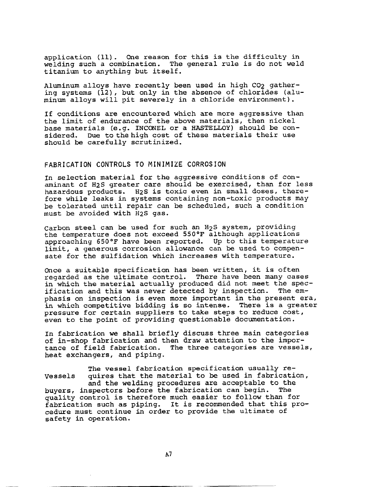application (11). One reason for this is the difficulty in welding such a combination. The general rule is do not weld titanium to anything but itself.

Aluminum alloys have recently been used in high CO2 gathering systems (12), but only in the absence of chlorides (aluminum alloys will pit severely in a chloride environment).

If conditions are encountered which are more aggressive than the limit of endurance of the above materials, then nickel base materials (e.g. INCONEL or a HASTELLOY) should be considered. Due to the high cost of these materials their use should be carefully scrutinized.

#### **FABRICATION CONTROLS TO MINIMIZE CORROSION**

In selection material for the aggressive conditions of conaminant of H2S greater care should be exercised, than for less hazardous products. H2S is toxic even in small doses, therefore while leaks in systems containing non-toxic products may be tolerated until repair can be scheduled, such a condition must be avoided with H2S gas.

Carbon steel can be used for such an H2S system, providing the temperature does not exceed 550°F although applications approaching 650°F have been reported. Up to this temperature limit, a generous corrosion allowance can be used to compensate for the sulfidation which increases with temperature.

Once a suitable specification has been written, it is often regarded as the ultimate control. There have been many cases in which the material actually produced did not meet the specification and this was never detected by inspection. The emphasis on inspection is even more important in the present era, in which competitive bidding is so intense. There is a greater pressure for certain suppliers to take steps to reduce cost, even to the point of providing questionable documentation.

In fabrication we shall briefly discuss three main categories of in-shop fabrication and then draw attention to the importance of field fabrication. The three categories are vessels, heat exchangers, and piping.

The vessel fabrication specification usually re-Vessels quires that the material to be used in fabrication, and the welding procedures are acceptable to the buyers, inspectors before the fabrication can begin. The quality control is therefore much easier to follow than for fabrication such as piping. It is recommended that this procedure must continue in order to provide the ultimate of safety in operation.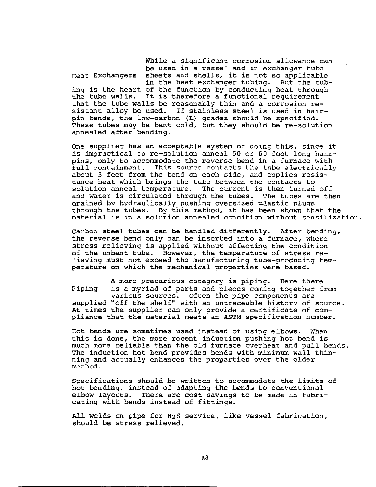While a significant corrosion allowance can be used in a vessel and in exchanger tube Heat Exchangers sheets and shells, it is not so applicable

in the heat exchanger tubing. But the tubing is the heart of the function by conducting heat through<br>the tube walls. It is therefore a functional requirement It is therefore a functional requirement that the tube walls be reasonably thin and a corrosion resistant alloy be used. If stainless steel is used in hairpin bends, the low-carbon (L) grades should be specified. These tubes may be bent cold, but they should be re-solution annealed after bending.

One supplier has an acceptable system of doing this, since it is impractical to re-solution anneal 50 or 60 foot long hairpins, only to accommodate the reverse bend in a furnace with full containment. This source contacts the tube electrically about 3 feet from the bend on each side, and applies resistance heat which brings the tube between the contacts to solution anneal temperature. The current is then turned off and water is circulated through the tubes. The tubes are then drained by hydraulically pushing oversized plastic plugs through the tubes. By this method, it has been shown that the material is in a solution annealed condition without sensitization.

Carbon steel tubes can be handled differently. After bending, the reverse bend only can be inserted into a furnace, where stress relieving is applied without affecting the condition of the unbent tube. However, the temperature of stress relieving must not exceed the manufacturing tube-producing temperature on which the mechanical properties were based.

A more precarious category is piping. Here there Piping is a myriad of parts and pieces coming together from various sources. Often the pipe components are supplied "off the shelf" with an untraceable history of source. At times the supplier can only provide a certificate of compliance that the material meets an ASTM specification number.

Hot bends are sometimes used instead of using elbows. When this is done, the more recent induction pushing hot bend is much more reliable than the old furnace overheat and pull bends. The induction hot bend provides bends with minimum wall thinning and actually enhances the properties over the older method.

Specifications should be written to accommodate the limits of hot bending, instead of adapting the bends to conventional elbow layouts. There are cost savings to be made in fabricating with bends instead of fittings.

All welds on pipe for H2S service, like vessel fabrication, should be stress relieved.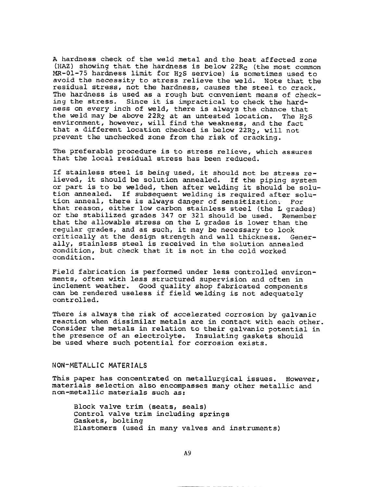A hardness check of the weld metal and the heat affected zone (HAZ) showing that the hardness is below  $22R_C$  (the most common MR-01-75 hardness limit for H<sub>2</sub>S service) is sometimes used to avoid the necessity to stress relieve the weld. Note that the residual stress, not the hardness, causes the steel to crack. The hardness is used as a rough but convenient means of checking the stress. Since it is impractical to check the hardness on every inch of weld, there is always the chance that the weld may be above 22R<sub>2</sub> at an untested location. The  $H_2S$ environment, however, will find the weakness, and the fact that a different location checked is below 22R2, will not prevent the unchecked zone from the risk of cracking.

The preferable procedure is to stress relieve, which assures that the local residual stress has been reduced.

If stainless steel is being used, it should not be stress relieved, it should be solution annealed. If the piping system or part is to be welded, then after welding it should be solution annealed. If subsequent welding is required after solution anneal, there is always danger of sensitization. For that reason, either low carbon stainless steel (the L grades) or the stabilized grades 347 or 321 should be used. Remember that the allowable stress on the L grades is lower than the regular grades, and as such, it may be necessary to look critically at the design strength and wall thickness. Generally, stainless steel is received in the solution annealed condition, but check that it is not in the cold worked condition.

Field fabrication is performed under less controlled environments, often with less structured supervision and often in inclement weather. Good quality shop fabricated components can be rendered useless if field welding is not adequately controlled.

There is always the risk of accelerated corrosion by galvanic reaction when dissimilar metals are in contact with each other. Consider the metals in relation to their galvanic potential in the presence of an electrolyte. Insulating gaskets should be used where such potential for corrosion exists.

#### NON-METALLIC MATERIALS

This paper has concentrated on metallurgical issues. However, materials selection also encompasses many other metallic and non-metallic materials such as:

Block valve trim (seats, seals) Control valve trim including springs Gaskets, bolting Elastomers (used in many valves and instruments)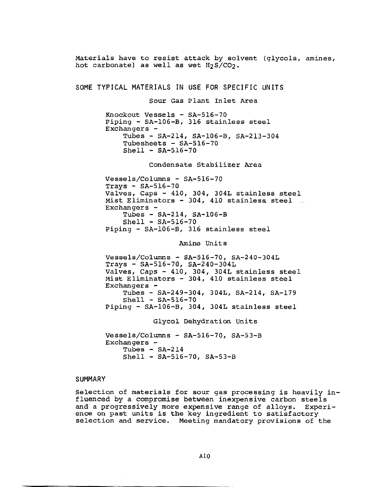Materials have to resist attack by solvent (glycols, amines, hot carbonate) as well as wet  $H_2S/CO_2$ . SOME TYPICAL MATERIALS IN USE FOR SPECIFIC UNITS Sour Gas Plant Inlet Area Knockout Vessels - SA-516-70 Piping - SA-106-B, 316 stainless steel Exchangers - Tubes - SA-214, SA-106-B, SA-213-304 Tubesheets  $-$  SA-516-70  $Shell - SA-516-70$ Condensate Stabilizer Area Vessels/Columns - SA-516-70  $Trays - SA-516-70$ Valves, Caps - 410, 304, 304L stainless steel Mist Eliminators - 304, 410 stainless steel  $\sim 10$ Exchangers - Tubes - SA-214, SA-106-B  $Shell - SA-516-70$ Piping - SA-106-B, 316 stainless steel Amine Units Vessels/Columns - SA-516-70, SA-240-304L  $Trays - SA-516-70, SA-240-304L$ Valves, Caps - 410, 304, 304L stainless steel Mist Eliminators - 304, 410 stainless steel  $Exchanges -$ Tubes - SA-249-304, 304L, SA-214, SA-179  $Shell - SA-516-70$ Piping - SA-106-B, 304, 304L stainless steel Glycol Dehydration Units Vessels/Columns - SA-516-70, SA-53-B Exchangers  $-$ Tubes -  $SA-214$ Shell - SA-516-70, SA-53-B

#### **SUMMARY**

Selection of materials for sour gas processing is heavily influenced by a compromise between inexpensive carbon steels and a progressively more expensive range of alloys. Experience on past units is the key ingredient to satisfactory selection and service. Meeting mandatory provisions of the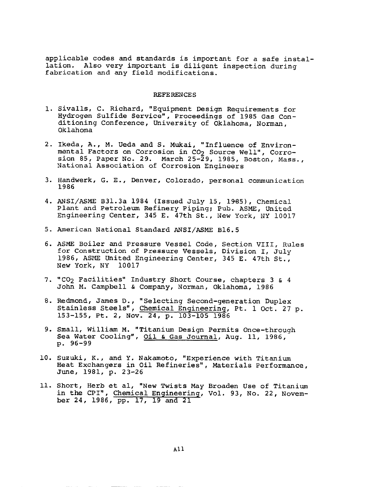applicable codes and standards is important for a safe installation. Also very important is diligent inspection during fabrication and any field modifications.

#### REFERENCES

- i. sivalls, C. Richard, "Equipment Design Requirements for Hydrogen Sulfide Service", Proceedings of 1985 Gas Conditioning Conference, University of Oklahoma, Norman, Oklahoma
- 2. Ikeda, A., M. Ueda and S. Mukai, "Influence of Environmental Factors on Corrosion in CO<sub>2</sub> Source Well", Corrosion 85, Paper No. 29. March 25-29, 1985, Boston, Mass., National Association of Corrosion Engineers
- 3. Handwerk, G. E., Denver, Colorado, personal communication 1986
- 4. ANSI/ASME B31.3a 1984 (Issued July 15, 1985), Chemical Plant and Petroleum Refinery Piping; Pub. ASME, United Engineering Center, 345 E. 47th St., New York, NY 10017
- 5. American National Standard ANSI/ASME B16.5
- 6. ASME Boiler and Pressure Vessel Code, Section VIII, Rules for Construction of Pressure Vessels, Division I, July 1986, ASME United Engineering Center, 345 E. 47th St., New York, NY 10017
- 7. "CO<sub>2</sub> Facilities" Industry Short Course, chapters 3 & 4 John M. Campbell & Company, Norman, Oklahoma, 1986
- 8. Redmond, James D., "Selecting Second-generation Duplex Stainless Steels", Chemical Engineering, Pt. 1 Oct. 27 p. 153-155, Pt. 2, Nov. 24, p. 103-105 1986
- 9. Small, William M. "Titanium Design Permits Once-through Sea Water Cooling", Oil & Gas Journal, Aug. 11, 1986, p. 96-99
- 10. Suzuki, K., and Y. Nakamoto, "Experience with Titanium Heat Exchangers in Oil Refineries", Materials Performance, June, 1981, p. 23-26
- ii. Short, Herb et al, "New Twists May Broaden Use of Titanium in the CPI", Chemical Engineering, Vol. 93, No. 22, November 24, 1986, pp. 17, 19 and 21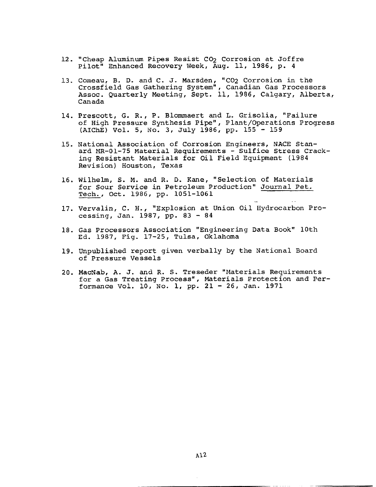- 12. "Cheap Aluminum Pipes Resist CO<sub>2</sub> Corrosion at Joffre Pilot" Enhanced Recovery Week, Aug. ii, 1986, p. 4
- 13. Comeau, B. D. and C. J. Marsden, "CO2 Corrosion in the Crossfield Gas Gathering System", Canadian Gas Processors Assoc. Quarterly Meeting, Sept. ii, 1986, Calgary, Alberta, Canada
- 14. Prescott, G. R., P. Blommaert and L. Grisolia, "Failure of High Pressure Synthesis Pipe", Plant/Operations Progress (AIChE) Vol. 5, No. 3, July 1986, pp. 155 - 159
- 15. National Association of Corrosion Engineers, NACE Stanard MR-01-75 Material Requirements - Sulfice Stress Cracking Resistant Materials for Oil Field Equipment (1984 Revision) Houston, Texas
- 16. Wilhelm, S. M. and R. D. Kane, "Selection of Materials for Sour Service in Petroleum Production" Journal Pet. Tech., Oct. 1986, pp. i051-1061
- 17. Vervalin, C. H., "Explosion at Union Oil Hydrocarbon Processing, Jan. 1987, pp. 83 - 84
- 18. Gas Processors Association "Engineering Data Book" 10th Ed. 1987, Fig. 17-25, Tulsa, Oklahoma
- 19. Unpublished report given verbally by the National Board of Pressure Vessels
- 20. MacNab, A. J. and R. S. Treseder "Materials Requirements for a Gas Treating Process", Materials Protection and Performance Vol. 10, No. i, pp. 21 - 26, Jan. 1971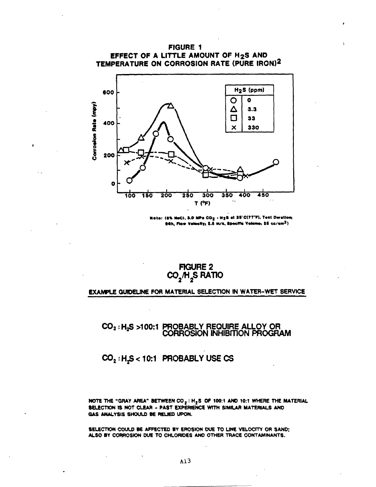#### **FIGURE 1** EFFECT OF A LITTLE AMOUNT OF H2S AND TEMPERATURE ON CORROSION RATE (PURE IRON)2



hte: (B% NeC), 3.0 MPs  $\texttt{CO}_{\mathbf{Z}}$  + H $\texttt{2B}$  at 25°C(77°F), Test Duration; 04h, Flow Velocity; 2.6 m/s, Specific Volume; 25 cc/cm<sup>2</sup>)

> **FIGURE 2** CO<sub>2</sub>H<sub>2</sub>S RATIO

#### **EXAMPLE GUIDELINE FOR MATERIAL SELECTION IN WATER-WET SERVICE**

## CO<sub>2</sub>: H<sub>2</sub>S >100:1 PROBABLY REQUIRE ALLOY OR<br>CORROSION INHIBITION PROGRAM

#### CO<sub>2</sub>: H<sub>2</sub>S < 10:1 PROBABLY USE CS

NOTE THE "GRAY AREA" BETWEEN  $CO_2$ : H<sub>2</sub>S OF 100:1 AND 10:1 WHERE THE MATERIAL SELECTION IS NOT CLEAR - PAST EXPERIENCE WITH SIMILAR MATERIALS AND GAS ANALYSIS SHOULD BE RELIED UPON.

SELECTION COULD BE AFFECTED BY EROSION DUE TO LINE VELOCITY OR SAND; ALSO BY CORROSION DUE TO CHLORIDES AND OTHER TRACE CONTAMINANTS.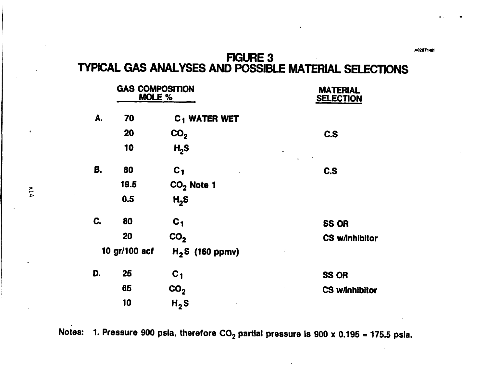# FIGURE 3<br>TYPICAL GAS ANALYSES AND POSSIBLE MATERIAL SELECTIONS

|               | <b>GAS COMPOSITION</b><br>MOLE % |                          | <b>MATERIAL</b><br><b>SELECTION</b>    |  |  |  |
|---------------|----------------------------------|--------------------------|----------------------------------------|--|--|--|
| A.            | 70                               | C <sub>1</sub> WATER WET |                                        |  |  |  |
|               | 20                               | CO <sub>2</sub>          | C.S                                    |  |  |  |
|               | 10                               | H <sub>2</sub> S         | $\hat{\phantom{a}}$<br>$\sim 10^{-10}$ |  |  |  |
| В.            | 80                               | C <sub>1</sub>           | C.S                                    |  |  |  |
|               | 19.5                             | $CO2$ Note 1             |                                        |  |  |  |
|               | 0.5                              | H <sub>2</sub> S         |                                        |  |  |  |
| C.            | 80                               | C <sub>1</sub>           | <b>SS OR</b>                           |  |  |  |
|               | 20                               | CO <sub>2</sub>          | <b>CS w/inhibitor</b>                  |  |  |  |
| 10 gr/100 scf |                                  | $H_2S$ (160 ppmv)        | $\mathbf{i}$                           |  |  |  |
| D.            | 25                               | $C_{1}$                  | <b>SS OR</b>                           |  |  |  |
|               | 65                               | CO <sub>2</sub>          | <b>CS w/inhibitor</b>                  |  |  |  |
|               | 10                               | H <sub>2</sub> S         |                                        |  |  |  |

Notes: 1. Pressure 900 psia, therefore  $CO_2$  partial pressure is 900 x 0.195 = 175.5 psia.

A0287142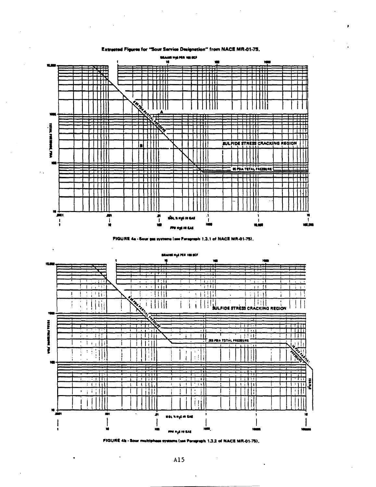#### Extracted Fleures for "Sour Service Designation" from NACE MR-01-75.



FIGURE 4a - Sour que systems (see Paragraph 1.3.1 of NACE MR-01-75).





FIGURE 4h - Sour multiphese systems (see Perspraph 1.3.2 of NACE MR-01-75).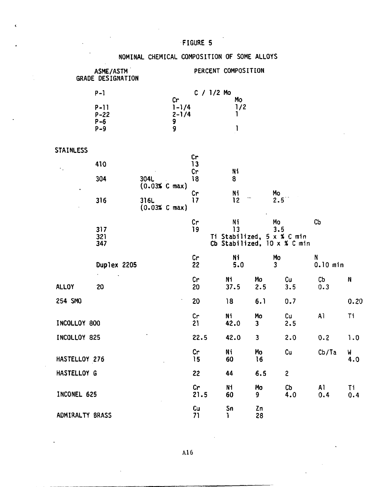#### FIGURE 5

#### NOMINAL CHEMICAL COMPOSITION OF SOME ALLOYS

| ASME/ASTM<br>GRADE DESIGNATION |                                      |                       | PERCENT COMPOSITION                    |              |                                        |                               |                             |                       |      |
|--------------------------------|--------------------------------------|-----------------------|----------------------------------------|--------------|----------------------------------------|-------------------------------|-----------------------------|-----------------------|------|
|                                | $P - 1$                              |                       |                                        | $C / 1/2$ Mo |                                        |                               |                             |                       |      |
|                                | $P-11$<br>$P - 22$<br>$P-6$<br>$P-9$ |                       | Cr<br>$1 - 1/4$<br>$2 - 1/4$<br>9<br>9 |              | Mo<br>1/2<br>1                         |                               |                             |                       |      |
| STAINLESS                      |                                      |                       |                                        |              |                                        |                               |                             |                       |      |
| ٠.                             | 410                                  |                       |                                        | Cr<br>13     |                                        |                               |                             |                       |      |
|                                | 304                                  | 304L<br>(0.03% C max) |                                        | Cr<br>18     | N1<br>8                                |                               |                             |                       |      |
| $\bullet$                      | 316                                  | 316L                  | $(0.03% \text{ C max})$                | Cr<br>17     | Ni<br>12                               | Mo<br>2.5                     |                             |                       |      |
|                                | 317<br>321<br>347                    |                       |                                        | Cr<br>19     | Νi<br>13<br>Ti Stabilized, 5 x % C min | Mo<br>3.5                     | Cb Stabilized, 10 x % C min | C <sub>D</sub>        |      |
|                                | Duplex 2205                          |                       |                                        | Cr<br>22     | Ni<br>5.0                              | Mo<br>$\overline{\mathbf{3}}$ |                             | N<br>$0.10$ min       |      |
| <b>ALLOY</b>                   | 20                                   |                       |                                        | Cr<br>20     | Ni<br>37.5                             | Mo<br>2.5                     | Cu<br>3.5                   | C <sub>b</sub><br>0.3 | N    |
| 254 SMO                        |                                      |                       |                                        | 20           | 18                                     | 6.1                           | 0.7                         |                       | 0.20 |
| INCOLLOY 800                   |                                      |                       | cr<br>21                               | Ni<br>42.0   | Mo<br>$\overline{\mathbf{3}}$          | cu<br>2.5                     | A1                          | Ti                    |      |
| INCOLLOY 825                   |                                      |                       | 22.5                                   | 42.0         | 3                                      | 2.0                           | 0.2                         | 1.0                   |      |
| HASTELLOY 276                  |                                      |                       | Cr<br>15                               | Ni<br>60     | Mo<br>16                               | Cu                            | Cb/Ta                       | W<br>4.0              |      |
| HASTELLOY G                    |                                      |                       | 22                                     | 44           | 6.5                                    | $\overline{2}$                |                             |                       |      |
| INCONEL 625                    |                                      |                       | Cr<br>21.5                             | Ni<br>60     | Mo<br>9                                | Cb<br>4.0                     | A1<br>0.4                   | Τi<br>0.4             |      |
| ADMIRALTY BRASS                |                                      |                       |                                        | Cu<br>71     | Sn<br>1                                | Zn<br>28                      |                             |                       |      |